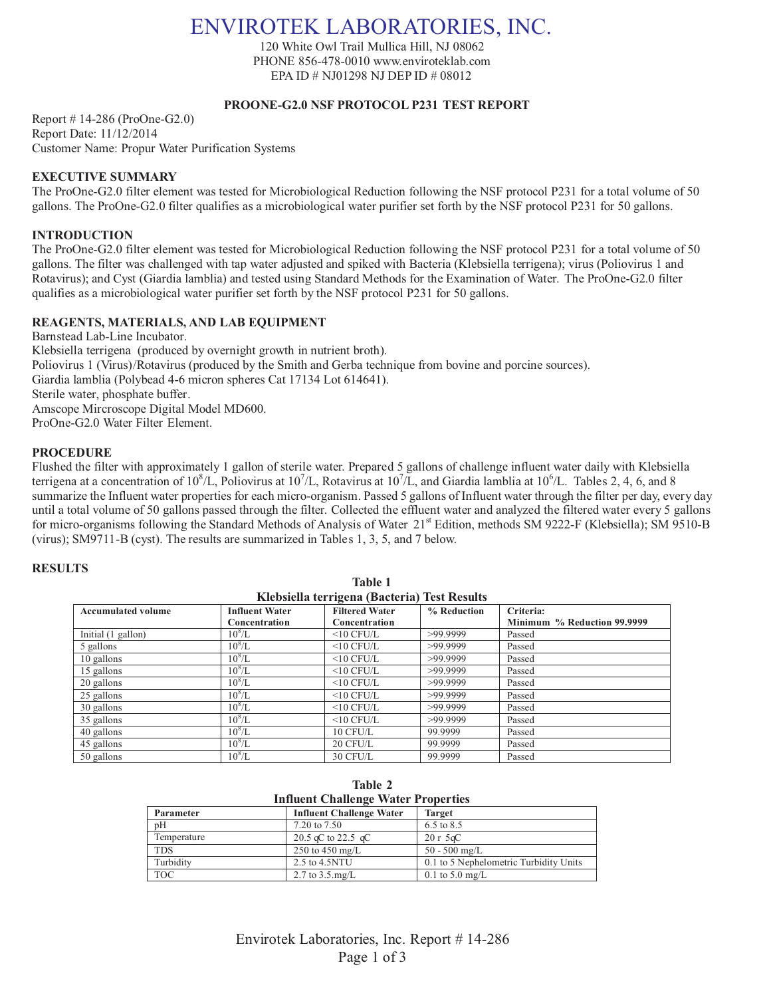# ENVIROTEK LABORATORIES, INC.

120 White Owl Trail Mullica Hill, NJ 08062 PHONE 856-478-0010 www.enviroteklab.com EPA ID # NJ01298 NJ DEP ID # 08012

### **PROONE-G2.0 NSF PROTOCOL P231 TEST REPORT**

Report # 14-286 (ProOne-G2.0) Report Date: 11/12/2014 Customer Name: Propur Water Purification Systems

# **EXECUTIVE SUMMARY**

The ProOne-G2.0 filter element was tested for Microbiological Reduction following the NSF protocol P231 for a total volume of 50 gallons. The ProOne-G2.0 filter qualifies as a microbiological water purifier set forth by the NSF protocol P231 for 50 gallons.

# **INTRODUCTION**

The ProOne-G2.0 filter element was tested for Microbiological Reduction following the NSF protocol P231 for a total volume of 50 gallons. The filter was challenged with tap water adjusted and spiked with Bacteria (Klebsiella terrigena); virus (Poliovirus 1 and Rotavirus); and Cyst (Giardia lamblia) and tested using Standard Methods for the Examination of Water. The ProOne-G2.0 filter qualifies as a microbiological water purifier set forth by the NSF protocol P231 for 50 gallons.

# **REAGENTS, MATERIALS, AND LAB EQUIPMENT**

Barnstead Lab-Line Incubator. Klebsiella terrigena (produced by overnight growth in nutrient broth). Poliovirus 1 (Virus)/Rotavirus (produced by the Smith and Gerba technique from bovine and porcine sources). Giardia lamblia (Polybead 4-6 micron spheres Cat 17134 Lot 614641). Sterile water, phosphate buffer. Amscope Mircroscope Digital Model MD600. ProOne-G2.0 Water Filter Element.

#### **PROCEDURE**

Flushed the filter with approximately 1 gallon of sterile water. Prepared 5 gallons of challenge influent water daily with Klebsiella terrigena at a concentration of  $10^8$ /L, Poliovirus at  $10^7$ /L, Rotavirus at  $10^7$ /L, and Giardia lamblia at  $10^6$ /L. Tables 2, 4, 6, and 8 summarize the Influent water properties for each micro-organism. Passed 5 gallons of Influent water through the filter per day, every day until a total volume of 50 gallons passed through the filter. Collected the effluent water and analyzed the filtered water every 5 gallons for micro-organisms following the Standard Methods of Analysis of Water 21<sup>st</sup> Edition, methods SM 9222-F (Klebsiella); SM 9510-B (virus); SM9711-B (cyst). The results are summarized in Tables 1, 3, 5, and 7 below.

### **RESULTS**

| Klebsiella terrigena (Bacteria) Test Results |                       |                       |             |                             |
|----------------------------------------------|-----------------------|-----------------------|-------------|-----------------------------|
| <b>Accumulated volume</b>                    | <b>Influent Water</b> | <b>Filtered Water</b> | % Reduction | Criteria:                   |
|                                              | Concentration         | Concentration         |             | Minimum % Reduction 99.9999 |
| Initial (1 gallon)                           | $10^8/L$              | $\leq 10$ CFU/L       | >99.9999    | Passed                      |
| 5 gallons                                    | $10^8/L$              | $<$ 10 CFU/L          | >99.9999    | Passed                      |
| 10 gallons                                   | $10^8$ /L             | $<$ 10 CFU/L          | >99.9999    | Passed                      |
| 15 gallons                                   | $10^8/L$              | $<$ 10 CFU/L          | >99.9999    | Passed                      |
| 20 gallons                                   | $10^8$ /L             | $\leq 10$ CFU/L       | >99.9999    | Passed                      |
| 25 gallons                                   | $10^8/L$              | $<$ 10 CFU/L          | >99.9999    | Passed                      |
| 30 gallons                                   | $10^8/L$              | $\leq 10$ CFU/L       | >99.9999    | Passed                      |
| 35 gallons                                   | $10^8/L$              | $\leq 10$ CFU/L       | >99.9999    | Passed                      |
| 40 gallons                                   | $10^8/L$              | 10 CFU/L              | 99.9999     | Passed                      |
| 45 gallons                                   | $10^8/L$              | $20$ CFU/L            | 99.9999     | Passed                      |
| 50 gallons                                   | $10^8/L$              | $30$ CFU/L            | 99.9999     | Passed                      |

**Table 1**

| Table 2 |                                            |
|---------|--------------------------------------------|
|         | <b>Influent Challenge Water Properties</b> |

| Influent Chancing Water I ruper ties |                                 |                                        |  |  |
|--------------------------------------|---------------------------------|----------------------------------------|--|--|
| Parameter                            | <b>Influent Challenge Water</b> | <b>Target</b>                          |  |  |
| pΗ                                   | 7.20 to 7.50                    | 6.5 to 8.5                             |  |  |
| Temperature                          | 20.5 qC to 22.5 qC              | $20r$ 5 $\alpha$ C                     |  |  |
| <b>TDS</b>                           | 250 to 450 mg/L                 | $50 - 500$ mg/L                        |  |  |
| Turbidity                            | 2.5 to 4.5NTU                   | 0.1 to 5 Nephelometric Turbidity Units |  |  |
| <b>TOC</b>                           | 2.7 to $3.5 \text{ mg/L}$       | 0.1 to 5.0 mg/L                        |  |  |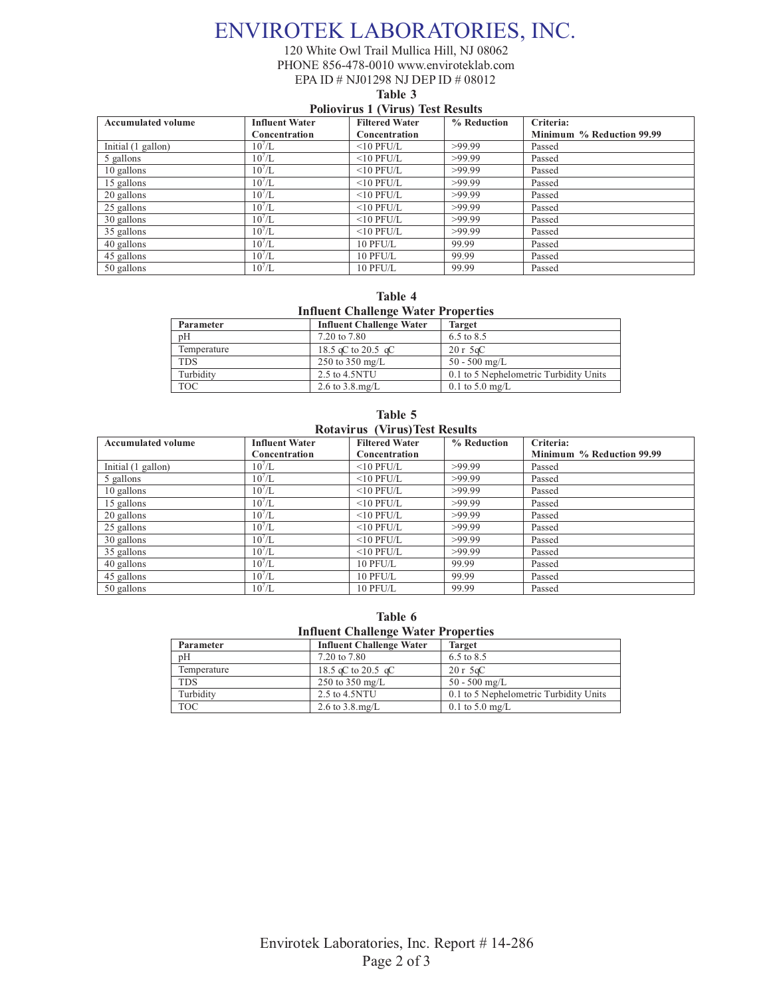# ENVIROTEK LABORATORIES, INC.

120 White Owl Trail Mullica Hill, NJ 08062 PHONE 856-478-0010 www.enviroteklab.com EPA ID # NJ01298 NJ DEP ID # 08012

**Table 3**

### **Poliovirus 1 (Virus) Test Results**

| <b>Accumulated volume</b> | <b>Influent Water</b> | <b>Filtered Water</b> | % Reduction | Criteria:                 |
|---------------------------|-----------------------|-----------------------|-------------|---------------------------|
|                           | Concentration         | Concentration         |             | Minimum % Reduction 99.99 |
| Initial (1 gallon)        | $10^7$ /L             | $<$ 10 PFU/L          | >99.99      | Passed                    |
| 5 gallons                 | 10'/L                 | $<$ 10 PFU/L          | >99.99      | Passed                    |
| 10 gallons                | 10'/L                 | $<$ 10 PFU/L          | >99.99      | Passed                    |
| 15 gallons                | 10'/L                 | $<$ 10 PFU/L          | >99.99      | Passed                    |
| 20 gallons                | $10^7$ /L             | $<$ 10 PFU/L          | >99.99      | Passed                    |
| 25 gallons                | 10'/L                 | $<$ 10 PFU/L          | >99.99      | Passed                    |
| 30 gallons                | $10^{7}$ /L           | $<$ 10 PFU/L          | >99.99      | Passed                    |
| 35 gallons                | $10^7$ /L             | $<$ 10 PFU/L          | >99.99      | Passed                    |
| 40 gallons                | 10'/L                 | 10 PFU/L              | 99.99       | Passed                    |
| 45 gallons                | 10'/L                 | 10 PFU/L              | 99.99       | Passed                    |
| 50 gallons                | 10'/L                 | 10 PFU/L              | 99.99       | Passed                    |

**Table 4 Influent Challenge Water Properties** 

| Parameter   | <b>Influent Challenge Water</b> | <b>Target</b>                          |
|-------------|---------------------------------|----------------------------------------|
| pH          | 7.20 to 7.80                    | 6.5 to 8.5                             |
| Temperature | 18.5 qC to 20.5 qC              | $20r$ 5 $\alpha$ C                     |
| <b>TDS</b>  | 250 to 350 mg/L                 | $50 - 500$ mg/L                        |
| Turbidity   | 2.5 to 4.5NTU                   | 0.1 to 5 Nephelometric Turbidity Units |
| <b>TOC</b>  | 2.6 to $3.8 \text{ mg/L}$       | $0.1 \text{ to } 5.0 \text{ mg/L}$     |

#### **Table 5 Rotavirus (Virus)Test Results**

| <b>Accumulated volume</b> | <b>Influent Water</b><br>Concentration | <b>Filtered Water</b><br>Concentration | % Reduction | Criteria:<br>Minimum % Reduction 99.99 |
|---------------------------|----------------------------------------|----------------------------------------|-------------|----------------------------------------|
| Initial (1 gallon)        | $10^7$ /L                              | $<$ 10 PFU/L                           | >99.99      | Passed                                 |
| 5 gallons                 | $10^7$ /L                              | $<$ 10 PFU/L                           | >99.99      | Passed                                 |
| 10 gallons                | 10'/L                                  | $<$ 10 PFU/L                           | >99.99      | Passed                                 |
| 15 gallons                | $10^7$ /L                              | $<$ 10 PFU/L                           | >99.99      | Passed                                 |
| 20 gallons                | 10'/L                                  | $<$ 10 PFU/L                           | >99.99      | Passed                                 |
| 25 gallons                | $10^7$ /L                              | $<$ 10 PFU/L                           | >99.99      | Passed                                 |
| 30 gallons                | $10^7$ /L                              | $<$ 10 PFU/L                           | >99.99      | Passed                                 |
| 35 gallons                | $10^7$ /L                              | $<$ 10 PFU/L                           | >99.99      | Passed                                 |
| 40 gallons                | $10^7$ /L                              | 10 PFU/L                               | 99.99       | Passed                                 |
| 45 gallons                | 10'/L                                  | 10 PFU/L                               | 99.99       | Passed                                 |
| 50 gallons                | $10^7$ /L                              | 10 PFU/L                               | 99.99       | Passed                                 |

**Table 6 Influent Challenge Water Properties** 

| Parameter   | <b>Influent Challenge Water</b> | <b>Target</b>                          |
|-------------|---------------------------------|----------------------------------------|
| pΗ          | 7.20 to 7.80                    | 6.5 to 8.5                             |
| Temperature | 18.5 qC to 20.5 qC              | $20r$ 5 $\alpha$ C                     |
| <b>TDS</b>  | 250 to 350 mg/L                 | $50 - 500$ mg/L                        |
| Turbidity   | 2.5 to 4.5NTU                   | 0.1 to 5 Nephelometric Turbidity Units |
| <b>TOC</b>  | 2.6 to $3.8 \text{ mg/L}$       | $0.1 \text{ to } 5.0 \text{ mg/L}$     |